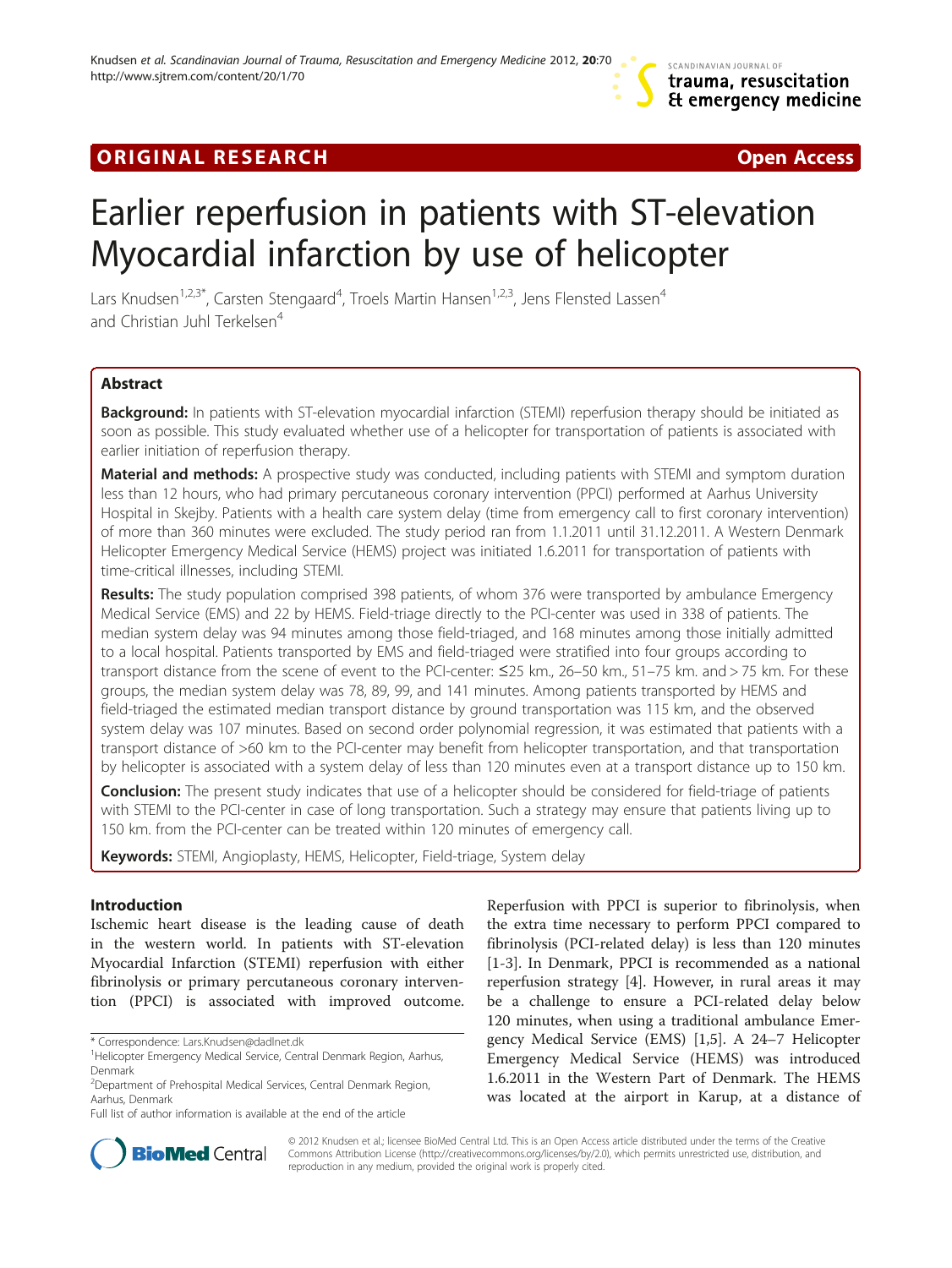# **ORIGINAL RESEARCH CONFIDENTIAL CONSUMING A LOCAL CONFIDENTIAL CONFIDENTIAL CONFIDENTIAL CONFIDENTIAL CONFIDENTI**

# Earlier reperfusion in patients with ST-elevation Myocardial infarction by use of helicopter

Lars Knudsen<sup>1,2,3\*</sup>, Carsten Stengaard<sup>4</sup>, Troels Martin Hansen<sup>1,2,3</sup>, Jens Flensted Lassen<sup>4</sup> and Christian Juhl Terkelsen<sup>4</sup>

# Abstract

Background: In patients with ST-elevation myocardial infarction (STEMI) reperfusion therapy should be initiated as soon as possible. This study evaluated whether use of a helicopter for transportation of patients is associated with earlier initiation of reperfusion therapy.

Material and methods: A prospective study was conducted, including patients with STEMI and symptom duration less than 12 hours, who had primary percutaneous coronary intervention (PPCI) performed at Aarhus University Hospital in Skejby. Patients with a health care system delay (time from emergency call to first coronary intervention) of more than 360 minutes were excluded. The study period ran from 1.1.2011 until 31.12.2011. A Western Denmark Helicopter Emergency Medical Service (HEMS) project was initiated 1.6.2011 for transportation of patients with time-critical illnesses, including STEMI.

Results: The study population comprised 398 patients, of whom 376 were transported by ambulance Emergency Medical Service (EMS) and 22 by HEMS. Field-triage directly to the PCI-center was used in 338 of patients. The median system delay was 94 minutes among those field-triaged, and 168 minutes among those initially admitted to a local hospital. Patients transported by EMS and field-triaged were stratified into four groups according to transport distance from the scene of event to the PCI-center: ≤25 km., 26–50 km., 51–75 km. and > 75 km. For these groups, the median system delay was 78, 89, 99, and 141 minutes. Among patients transported by HEMS and field-triaged the estimated median transport distance by ground transportation was 115 km, and the observed system delay was 107 minutes. Based on second order polynomial regression, it was estimated that patients with a transport distance of >60 km to the PCI-center may benefit from helicopter transportation, and that transportation by helicopter is associated with a system delay of less than 120 minutes even at a transport distance up to 150 km.

Conclusion: The present study indicates that use of a helicopter should be considered for field-triage of patients with STEMI to the PCI-center in case of long transportation. Such a strategy may ensure that patients living up to 150 km. from the PCI-center can be treated within 120 minutes of emergency call.

Keywords: STEMI, Angioplasty, HEMS, Helicopter, Field-triage, System delay

# Introduction

Ischemic heart disease is the leading cause of death in the western world. In patients with ST-elevation Myocardial Infarction (STEMI) reperfusion with either fibrinolysis or primary percutaneous coronary intervention (PPCI) is associated with improved outcome. Reperfusion with PPCI is superior to fibrinolysis, when the extra time necessary to perform PPCI compared to fibrinolysis (PCI-related delay) is less than 120 minutes [[1](#page-3-0)[-3](#page-4-0)]. In Denmark, PPCI is recommended as a national reperfusion strategy [\[4](#page-4-0)]. However, in rural areas it may be a challenge to ensure a PCI-related delay below 120 minutes, when using a traditional ambulance Emergency Medical Service (EMS) [\[1](#page-3-0)[,5](#page-4-0)]. A 24–7 Helicopter Emergency Medical Service (HEMS) was introduced 1.6.2011 in the Western Part of Denmark. The HEMS was located at the airport in Karup, at a distance of



© 2012 Knudsen et al.; licensee BioMed Central Ltd. This is an Open Access article distributed under the terms of the Creative Commons Attribution License [\(http://creativecommons.org/licenses/by/2.0\)](http://creativecommons.org/licenses/by/2.0), which permits unrestricted use, distribution, and reproduction in any medium, provided the original work is properly cited.

<sup>\*</sup> Correspondence: [Lars.Knudsen@dadlnet.dk](mailto:Lars.Knudsen@dadlnet.dk) <sup>1</sup>

<sup>&</sup>lt;sup>1</sup>Helicopter Emergency Medical Service, Central Denmark Region, Aarhus, Denmark

<sup>2</sup> Department of Prehospital Medical Services, Central Denmark Region, Aarhus, Denmark

Full list of author information is available at the end of the article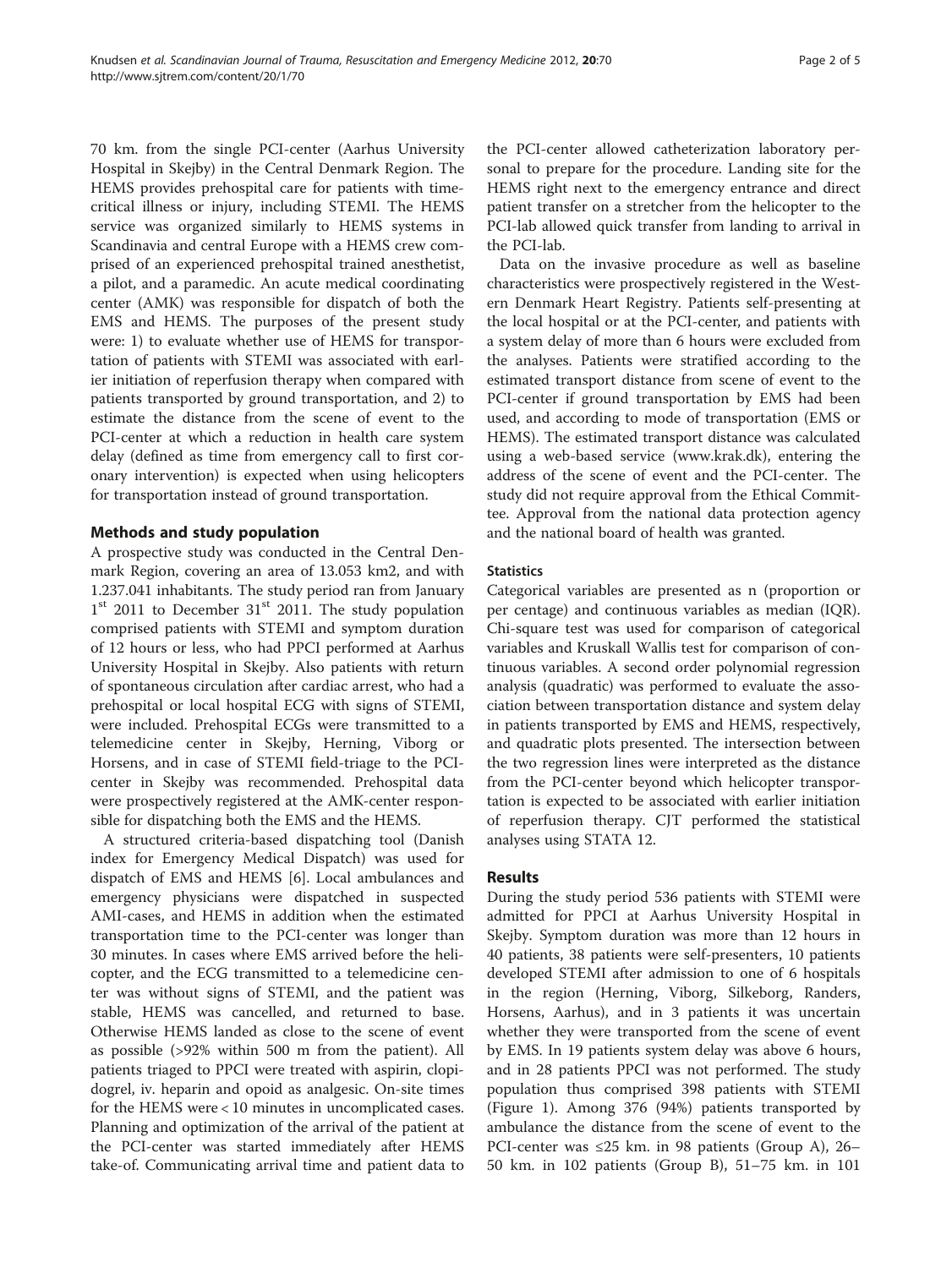70 km. from the single PCI-center (Aarhus University Hospital in Skejby) in the Central Denmark Region. The HEMS provides prehospital care for patients with timecritical illness or injury, including STEMI. The HEMS service was organized similarly to HEMS systems in Scandinavia and central Europe with a HEMS crew comprised of an experienced prehospital trained anesthetist, a pilot, and a paramedic. An acute medical coordinating center (AMK) was responsible for dispatch of both the EMS and HEMS. The purposes of the present study were: 1) to evaluate whether use of HEMS for transportation of patients with STEMI was associated with earlier initiation of reperfusion therapy when compared with patients transported by ground transportation, and 2) to estimate the distance from the scene of event to the PCI-center at which a reduction in health care system delay (defined as time from emergency call to first coronary intervention) is expected when using helicopters for transportation instead of ground transportation.

# Methods and study population

A prospective study was conducted in the Central Denmark Region, covering an area of 13.053 km2, and with 1.237.041 inhabitants. The study period ran from January  $1<sup>st</sup>$  2011 to December 31 $<sup>st</sup>$  2011. The study population</sup> comprised patients with STEMI and symptom duration of 12 hours or less, who had PPCI performed at Aarhus University Hospital in Skejby. Also patients with return of spontaneous circulation after cardiac arrest, who had a prehospital or local hospital ECG with signs of STEMI, were included. Prehospital ECGs were transmitted to a telemedicine center in Skejby, Herning, Viborg or Horsens, and in case of STEMI field-triage to the PCIcenter in Skejby was recommended. Prehospital data were prospectively registered at the AMK-center responsible for dispatching both the EMS and the HEMS.

A structured criteria-based dispatching tool (Danish index for Emergency Medical Dispatch) was used for dispatch of EMS and HEMS [[6\]](#page-4-0). Local ambulances and emergency physicians were dispatched in suspected AMI-cases, and HEMS in addition when the estimated transportation time to the PCI-center was longer than 30 minutes. In cases where EMS arrived before the helicopter, and the ECG transmitted to a telemedicine center was without signs of STEMI, and the patient was stable, HEMS was cancelled, and returned to base. Otherwise HEMS landed as close to the scene of event as possible (>92% within 500 m from the patient). All patients triaged to PPCI were treated with aspirin, clopidogrel, iv. heparin and opoid as analgesic. On-site times for the HEMS were < 10 minutes in uncomplicated cases. Planning and optimization of the arrival of the patient at the PCI-center was started immediately after HEMS take-of. Communicating arrival time and patient data to

the PCI-center allowed catheterization laboratory personal to prepare for the procedure. Landing site for the HEMS right next to the emergency entrance and direct patient transfer on a stretcher from the helicopter to the PCI-lab allowed quick transfer from landing to arrival in the PCI-lab.

Data on the invasive procedure as well as baseline characteristics were prospectively registered in the Western Denmark Heart Registry. Patients self-presenting at the local hospital or at the PCI-center, and patients with a system delay of more than 6 hours were excluded from the analyses. Patients were stratified according to the estimated transport distance from scene of event to the PCI-center if ground transportation by EMS had been used, and according to mode of transportation (EMS or HEMS). The estimated transport distance was calculated using a web-based service [\(www.krak.dk](http://www.krak.dk)), entering the address of the scene of event and the PCI-center. The study did not require approval from the Ethical Committee. Approval from the national data protection agency and the national board of health was granted.

# **Statistics**

Categorical variables are presented as n (proportion or per centage) and continuous variables as median (IQR). Chi-square test was used for comparison of categorical variables and Kruskall Wallis test for comparison of continuous variables. A second order polynomial regression analysis (quadratic) was performed to evaluate the association between transportation distance and system delay in patients transported by EMS and HEMS, respectively, and quadratic plots presented. The intersection between the two regression lines were interpreted as the distance from the PCI-center beyond which helicopter transportation is expected to be associated with earlier initiation of reperfusion therapy. CJT performed the statistical analyses using STATA 12.

# Results

During the study period 536 patients with STEMI were admitted for PPCI at Aarhus University Hospital in Skejby. Symptom duration was more than 12 hours in 40 patients, 38 patients were self-presenters, 10 patients developed STEMI after admission to one of 6 hospitals in the region (Herning, Viborg, Silkeborg, Randers, Horsens, Aarhus), and in 3 patients it was uncertain whether they were transported from the scene of event by EMS. In 19 patients system delay was above 6 hours, and in 28 patients PPCI was not performed. The study population thus comprised 398 patients with STEMI (Figure [1\)](#page-2-0). Among 376 (94%) patients transported by ambulance the distance from the scene of event to the PCI-center was ≤25 km. in 98 patients (Group A), 26– 50 km. in 102 patients (Group B), 51–75 km. in 101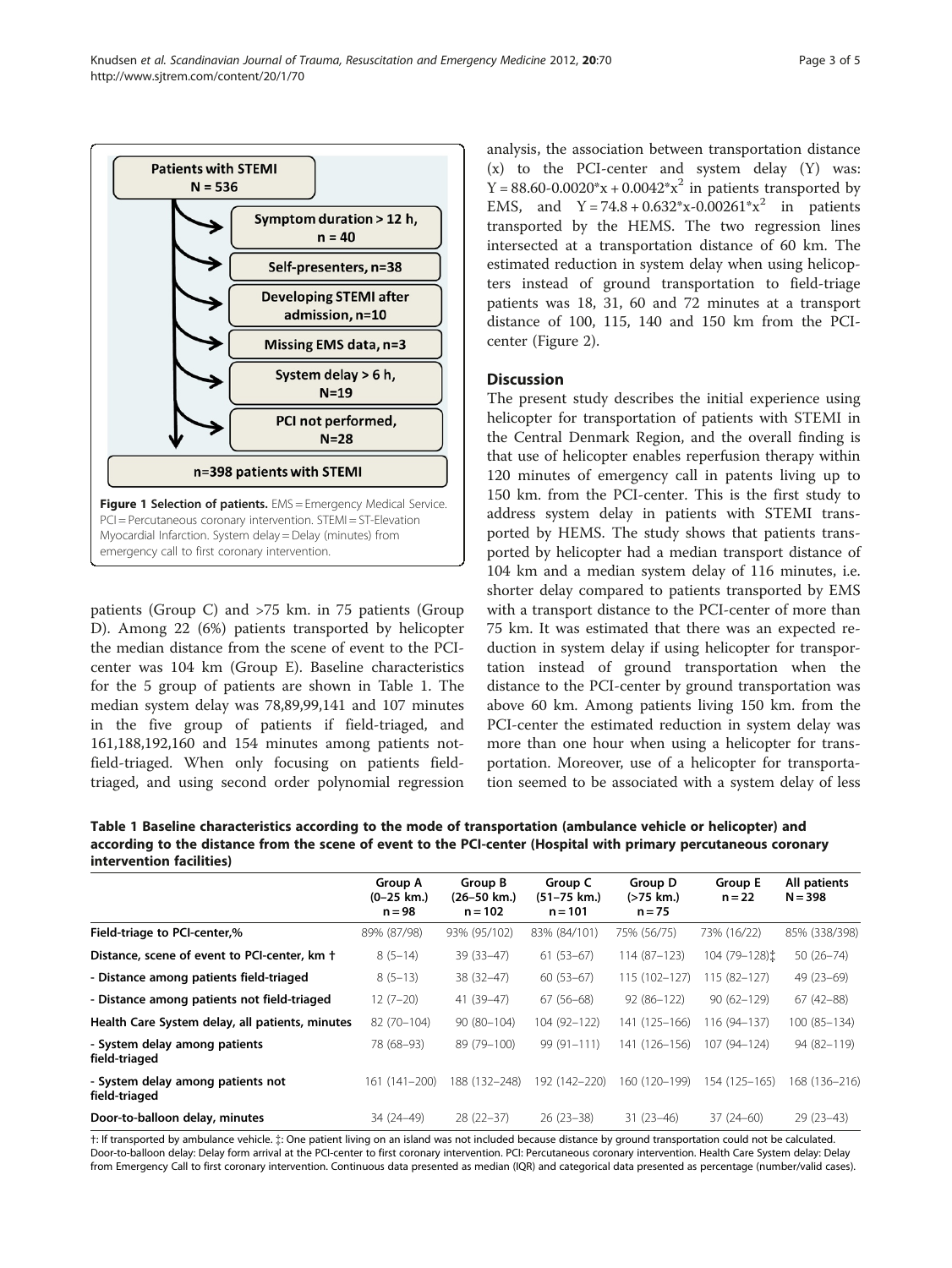<span id="page-2-0"></span>

patients (Group C) and >75 km. in 75 patients (Group D). Among 22 (6%) patients transported by helicopter the median distance from the scene of event to the PCIcenter was 104 km (Group E). Baseline characteristics for the 5 group of patients are shown in Table 1. The median system delay was 78,89,99,141 and 107 minutes in the five group of patients if field-triaged, and 161,188,192,160 and 154 minutes among patients notfield-triaged. When only focusing on patients fieldtriaged, and using second order polynomial regression

analysis, the association between transportation distance (x) to the PCI-center and system delay (Y) was:  $Y = 88.60 - 0.0020*x + 0.0042*x^2$  in patients transported by EMS, and  $Y = 74.8 + 0.632*x - 0.00261*x^2$  in patients transported by the HEMS. The two regression lines intersected at a transportation distance of 60 km. The estimated reduction in system delay when using helicopters instead of ground transportation to field-triage patients was 18, 31, 60 and 72 minutes at a transport distance of 100, 115, 140 and 150 km from the PCIcenter (Figure [2\)](#page-3-0).

# **Discussion**

The present study describes the initial experience using helicopter for transportation of patients with STEMI in the Central Denmark Region, and the overall finding is that use of helicopter enables reperfusion therapy within 120 minutes of emergency call in patents living up to 150 km. from the PCI-center. This is the first study to address system delay in patients with STEMI transported by HEMS. The study shows that patients transported by helicopter had a median transport distance of 104 km and a median system delay of 116 minutes, i.e. shorter delay compared to patients transported by EMS with a transport distance to the PCI-center of more than 75 km. It was estimated that there was an expected reduction in system delay if using helicopter for transportation instead of ground transportation when the distance to the PCI-center by ground transportation was above 60 km. Among patients living 150 km. from the PCI-center the estimated reduction in system delay was more than one hour when using a helicopter for transportation. Moreover, use of a helicopter for transportation seemed to be associated with a system delay of less

Table 1 Baseline characteristics according to the mode of transportation (ambulance vehicle or helicopter) and according to the distance from the scene of event to the PCI-center (Hospital with primary percutaneous coronary intervention facilities)

|                                                    | Group A<br>$(0-25$ km.)<br>$n = 98$ | Group B<br>$(26-50$ km.)<br>$n = 102$ | Group C<br>(51–75 km.)<br>$n = 101$ | Group D<br>$( > 75$ km.)<br>$n = 75$ | <b>Group E</b><br>$n = 22$ | All patients<br>$N = 398$ |
|----------------------------------------------------|-------------------------------------|---------------------------------------|-------------------------------------|--------------------------------------|----------------------------|---------------------------|
| Field-triage to PCI-center,%                       | 89% (87/98)                         | 93% (95/102)                          | 83% (84/101)                        | 75% (56/75)                          | 73% (16/22)                | 85% (338/398)             |
| Distance, scene of event to PCI-center, km +       | $8(5-14)$                           | $39(33-47)$                           | $61(53-67)$                         | $114(87-123)$                        | 104 (79-128):              | $50(26 - 74)$             |
| - Distance among patients field-triaged            | $8(5-13)$                           | 38 (32-47)                            | $60(53-67)$                         | 115 (102-127)                        | $15(82 - 127)$             | $49(23-69)$               |
| - Distance among patients not field-triaged        | $12(7-20)$                          | 41 (39-47)                            | $67(56-68)$                         | $92(86 - 122)$                       | $90(62 - 129)$             | $67(42 - 88)$             |
| Health Care System delay, all patients, minutes    | 82 (70-104)                         | 90 (80-104)                           | 104 (92-122)                        | 141 (125-166)                        | 16 (94-137)                | $100(85 - 134)$           |
| - System delay among patients<br>field-triaged     | 78 (68-93)                          | 89 (79-100)                           | $99(91 - 111)$                      | 141 (126-156)                        | 107 (94-124)               | 94 (82-119)               |
| - System delay among patients not<br>field-triaged | 161 (141-200)                       | 188 (132-248)                         | 192 (142-220)                       | 160 (120-199)                        | 154 (125–165)              | 168 (136-216)             |
| Door-to-balloon delay, minutes                     | 34 (24-49)                          | $28(22-37)$                           | $26(23-38)$                         | $31(23-46)$                          | $37(24 - 60)$              | $29(23-43)$               |

†: If transported by ambulance vehicle. {: One patient living on an island was not included because distance by ground transportation could not be calculated. Door-to-balloon delay: Delay form arrival at the PCI-center to first coronary intervention. PCI: Percutaneous coronary intervention. Health Care System delay: Delay from Emergency Call to first coronary intervention. Continuous data presented as median (IQR) and categorical data presented as percentage (number/valid cases).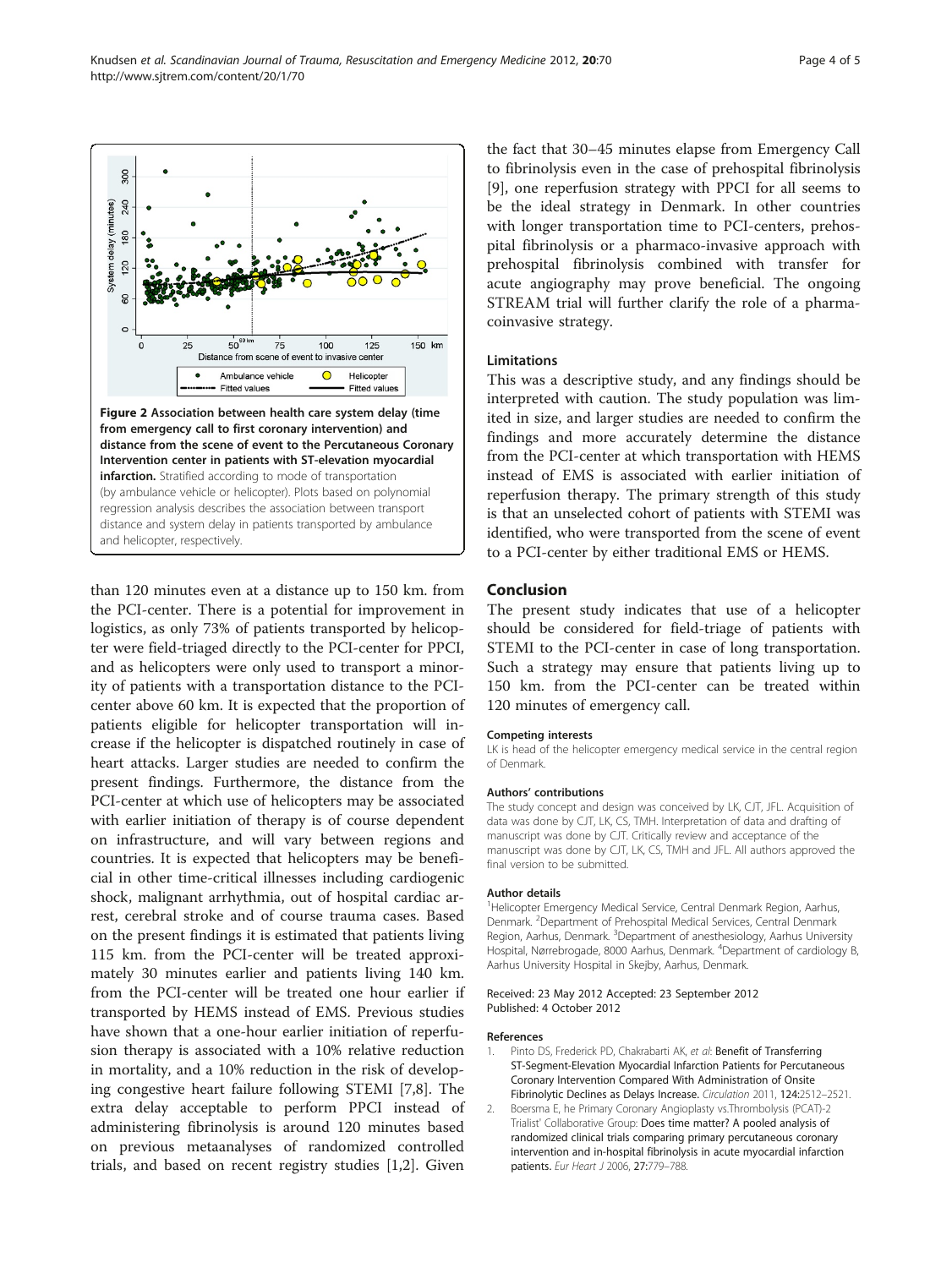<span id="page-3-0"></span>

than 120 minutes even at a distance up to 150 km. from the PCI-center. There is a potential for improvement in logistics, as only 73% of patients transported by helicopter were field-triaged directly to the PCI-center for PPCI, and as helicopters were only used to transport a minority of patients with a transportation distance to the PCIcenter above 60 km. It is expected that the proportion of patients eligible for helicopter transportation will increase if the helicopter is dispatched routinely in case of heart attacks. Larger studies are needed to confirm the present findings. Furthermore, the distance from the PCI-center at which use of helicopters may be associated with earlier initiation of therapy is of course dependent on infrastructure, and will vary between regions and countries. It is expected that helicopters may be beneficial in other time-critical illnesses including cardiogenic shock, malignant arrhythmia, out of hospital cardiac arrest, cerebral stroke and of course trauma cases. Based on the present findings it is estimated that patients living 115 km. from the PCI-center will be treated approximately 30 minutes earlier and patients living 140 km. from the PCI-center will be treated one hour earlier if transported by HEMS instead of EMS. Previous studies have shown that a one-hour earlier initiation of reperfusion therapy is associated with a 10% relative reduction in mortality, and a 10% reduction in the risk of developing congestive heart failure following STEMI [\[7,8](#page-4-0)]. The extra delay acceptable to perform PPCI instead of administering fibrinolysis is around 120 minutes based on previous metaanalyses of randomized controlled trials, and based on recent registry studies [1,2]. Given

the fact that 30–45 minutes elapse from Emergency Call to fibrinolysis even in the case of prehospital fibrinolysis [[9\]](#page-4-0), one reperfusion strategy with PPCI for all seems to be the ideal strategy in Denmark. In other countries with longer transportation time to PCI-centers, prehospital fibrinolysis or a pharmaco-invasive approach with prehospital fibrinolysis combined with transfer for acute angiography may prove beneficial. The ongoing STREAM trial will further clarify the role of a pharmacoinvasive strategy.

### Limitations

This was a descriptive study, and any findings should be interpreted with caution. The study population was limited in size, and larger studies are needed to confirm the findings and more accurately determine the distance from the PCI-center at which transportation with HEMS instead of EMS is associated with earlier initiation of reperfusion therapy. The primary strength of this study is that an unselected cohort of patients with STEMI was identified, who were transported from the scene of event to a PCI-center by either traditional EMS or HEMS.

### Conclusion

The present study indicates that use of a helicopter should be considered for field-triage of patients with STEMI to the PCI-center in case of long transportation. Such a strategy may ensure that patients living up to 150 km. from the PCI-center can be treated within 120 minutes of emergency call.

#### Competing interests

LK is head of the helicopter emergency medical service in the central region of Denmark.

#### Authors' contributions

The study concept and design was conceived by LK, CJT, JFL. Acquisition of data was done by CJT, LK, CS, TMH. Interpretation of data and drafting of manuscript was done by CJT. Critically review and acceptance of the manuscript was done by CJT, LK, CS, TMH and JFL. All authors approved the final version to be submitted.

#### Author details

<sup>1</sup>Helicopter Emergency Medical Service, Central Denmark Region, Aarhus Denmark. <sup>2</sup> Department of Prehospital Medical Services, Central Denmark Region, Aarhus, Denmark. <sup>3</sup>Department of anesthesiology, Aarhus University Hospital, Nørrebrogade, 8000 Aarhus, Denmark. <sup>4</sup>Department of cardiology B, Aarhus University Hospital in Skejby, Aarhus, Denmark.

#### Received: 23 May 2012 Accepted: 23 September 2012 Published: 4 October 2012

#### References

- 1. Pinto DS, Frederick PD, Chakrabarti AK, et al: Benefit of Transferring ST-Segment-Elevation Myocardial Infarction Patients for Percutaneous Coronary Intervention Compared With Administration of Onsite Fibrinolytic Declines as Delays Increase. Circulation 2011, 124:2512–2521.
- 2. Boersma E, he Primary Coronary Angioplasty vs.Thrombolysis (PCAT)-2 Trialist' Collaborative Group: Does time matter? A pooled analysis of randomized clinical trials comparing primary percutaneous coronary intervention and in-hospital fibrinolysis in acute myocardial infarction patients. Eur Heart J 2006, 27:779–788.